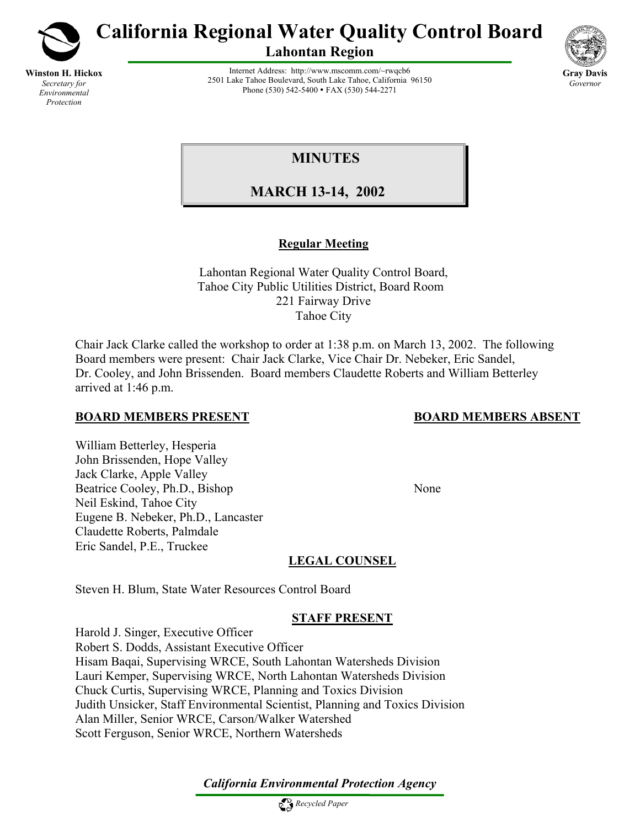

**Winston H. Hickox** *Secretary for Environmental Protection*

**California Regional Water Quality Control Board** 

**Lahontan Region** 



Internet Address: http://www.mscomm.com/~rwqcb6 2501 Lake Tahoe Boulevard, South Lake Tahoe, California 96150 Phone (530) 542-5400 • FAX (530) 544-2271

# **MINUTES**

 **MARCH 13-14, 2002** 

# **Regular Meeting**

Lahontan Regional Water Quality Control Board, Tahoe City Public Utilities District, Board Room 221 Fairway Drive Tahoe City

Chair Jack Clarke called the workshop to order at 1:38 p.m. on March 13, 2002. The following Board members were present: Chair Jack Clarke, Vice Chair Dr. Nebeker, Eric Sandel, Dr. Cooley, and John Brissenden. Board members Claudette Roberts and William Betterley arrived at 1:46 p.m.

## **BOARD MEMBERS PRESENT BOARD MEMBERS ABSENT**

William Betterley, Hesperia John Brissenden, Hope Valley Jack Clarke, Apple Valley Beatrice Cooley, Ph.D., Bishop None Neil Eskind, Tahoe City Eugene B. Nebeker, Ph.D., Lancaster Claudette Roberts, Palmdale Eric Sandel, P.E., Truckee

# **LEGAL COUNSEL**

Steven H. Blum, State Water Resources Control Board

# **STAFF PRESENT**

Harold J. Singer, Executive Officer Robert S. Dodds, Assistant Executive Officer Hisam Baqai, Supervising WRCE, South Lahontan Watersheds Division Lauri Kemper, Supervising WRCE, North Lahontan Watersheds Division Chuck Curtis, Supervising WRCE, Planning and Toxics Division Judith Unsicker, Staff Environmental Scientist, Planning and Toxics Division Alan Miller, Senior WRCE, Carson/Walker Watershed Scott Ferguson, Senior WRCE, Northern Watersheds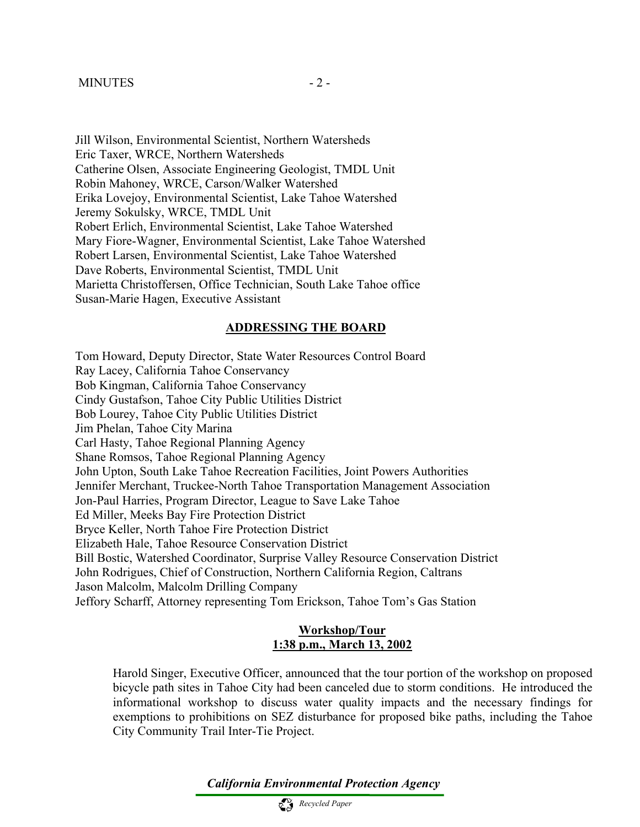Jill Wilson, Environmental Scientist, Northern Watersheds Eric Taxer, WRCE, Northern Watersheds Catherine Olsen, Associate Engineering Geologist, TMDL Unit Robin Mahoney, WRCE, Carson/Walker Watershed Erika Lovejoy, Environmental Scientist, Lake Tahoe Watershed Jeremy Sokulsky, WRCE, TMDL Unit Robert Erlich, Environmental Scientist, Lake Tahoe Watershed Mary Fiore-Wagner, Environmental Scientist, Lake Tahoe Watershed Robert Larsen, Environmental Scientist, Lake Tahoe Watershed Dave Roberts, Environmental Scientist, TMDL Unit Marietta Christoffersen, Office Technician, South Lake Tahoe office Susan-Marie Hagen, Executive Assistant

#### **ADDRESSING THE BOARD**

Tom Howard, Deputy Director, State Water Resources Control Board Ray Lacey, California Tahoe Conservancy Bob Kingman, California Tahoe Conservancy Cindy Gustafson, Tahoe City Public Utilities District Bob Lourey, Tahoe City Public Utilities District Jim Phelan, Tahoe City Marina Carl Hasty, Tahoe Regional Planning Agency Shane Romsos, Tahoe Regional Planning Agency John Upton, South Lake Tahoe Recreation Facilities, Joint Powers Authorities Jennifer Merchant, Truckee-North Tahoe Transportation Management Association Jon-Paul Harries, Program Director, League to Save Lake Tahoe Ed Miller, Meeks Bay Fire Protection District Bryce Keller, North Tahoe Fire Protection District Elizabeth Hale, Tahoe Resource Conservation District Bill Bostic, Watershed Coordinator, Surprise Valley Resource Conservation District John Rodrigues, Chief of Construction, Northern California Region, Caltrans Jason Malcolm, Malcolm Drilling Company Jeffory Scharff, Attorney representing Tom Erickson, Tahoe Tom's Gas Station

#### **Workshop/Tour 1:38 p.m., March 13, 2002**

Harold Singer, Executive Officer, announced that the tour portion of the workshop on proposed bicycle path sites in Tahoe City had been canceled due to storm conditions. He introduced the informational workshop to discuss water quality impacts and the necessary findings for exemptions to prohibitions on SEZ disturbance for proposed bike paths, including the Tahoe City Community Trail Inter-Tie Project.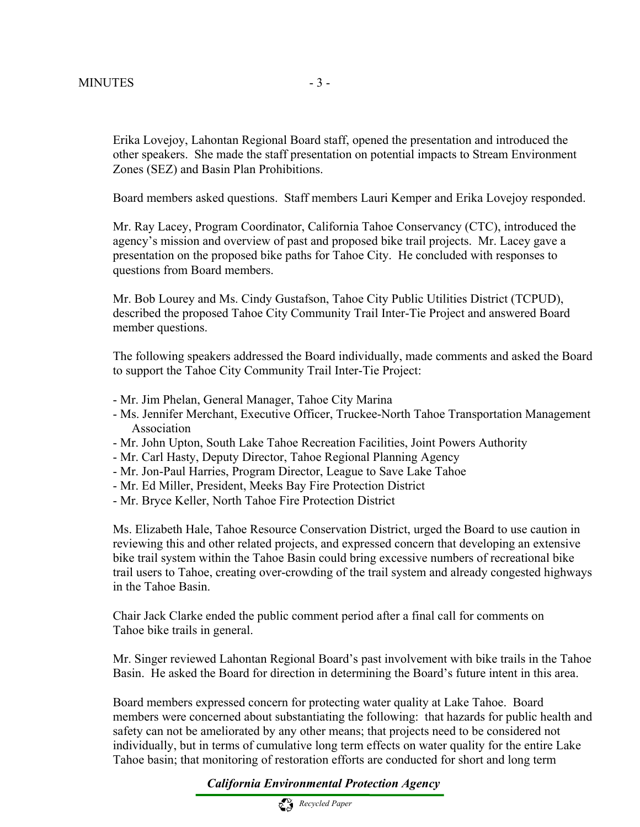Erika Lovejoy, Lahontan Regional Board staff, opened the presentation and introduced the other speakers. She made the staff presentation on potential impacts to Stream Environment Zones (SEZ) and Basin Plan Prohibitions.

Board members asked questions. Staff members Lauri Kemper and Erika Lovejoy responded.

Mr. Ray Lacey, Program Coordinator, California Tahoe Conservancy (CTC), introduced the agency's mission and overview of past and proposed bike trail projects. Mr. Lacey gave a presentation on the proposed bike paths for Tahoe City. He concluded with responses to questions from Board members.

Mr. Bob Lourey and Ms. Cindy Gustafson, Tahoe City Public Utilities District (TCPUD), described the proposed Tahoe City Community Trail Inter-Tie Project and answered Board member questions.

The following speakers addressed the Board individually, made comments and asked the Board to support the Tahoe City Community Trail Inter-Tie Project:

- Mr. Jim Phelan, General Manager, Tahoe City Marina
- Ms. Jennifer Merchant, Executive Officer, Truckee-North Tahoe Transportation Management Association
- Mr. John Upton, South Lake Tahoe Recreation Facilities, Joint Powers Authority
- Mr. Carl Hasty, Deputy Director, Tahoe Regional Planning Agency
- Mr. Jon-Paul Harries, Program Director, League to Save Lake Tahoe
- Mr. Ed Miller, President, Meeks Bay Fire Protection District
- Mr. Bryce Keller, North Tahoe Fire Protection District

Ms. Elizabeth Hale, Tahoe Resource Conservation District, urged the Board to use caution in reviewing this and other related projects, and expressed concern that developing an extensive bike trail system within the Tahoe Basin could bring excessive numbers of recreational bike trail users to Tahoe, creating over-crowding of the trail system and already congested highways in the Tahoe Basin.

Chair Jack Clarke ended the public comment period after a final call for comments on Tahoe bike trails in general.

Mr. Singer reviewed Lahontan Regional Board's past involvement with bike trails in the Tahoe Basin. He asked the Board for direction in determining the Board's future intent in this area.

Board members expressed concern for protecting water quality at Lake Tahoe. Board members were concerned about substantiating the following: that hazards for public health and safety can not be ameliorated by any other means; that projects need to be considered not individually, but in terms of cumulative long term effects on water quality for the entire Lake Tahoe basin; that monitoring of restoration efforts are conducted for short and long term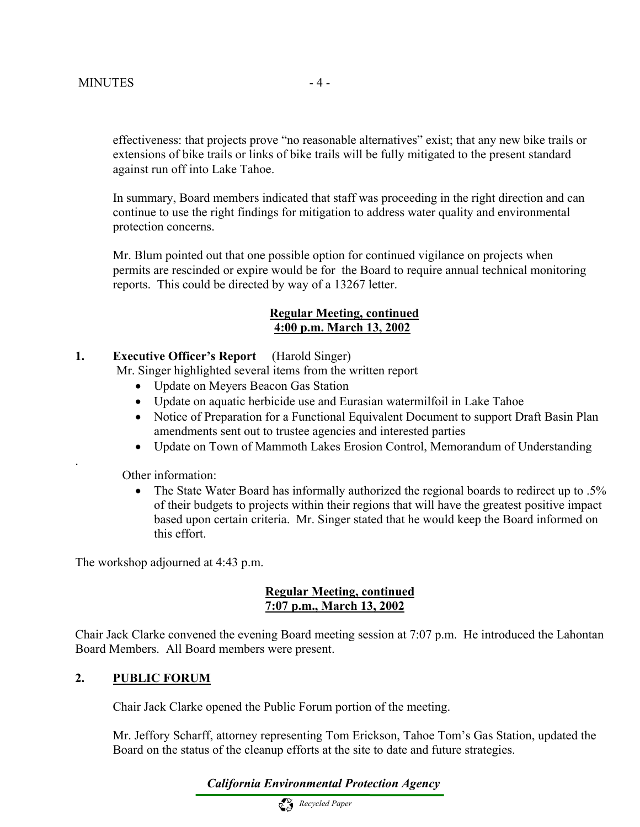effectiveness: that projects prove "no reasonable alternatives" exist; that any new bike trails or extensions of bike trails or links of bike trails will be fully mitigated to the present standard against run off into Lake Tahoe.

In summary, Board members indicated that staff was proceeding in the right direction and can continue to use the right findings for mitigation to address water quality and environmental protection concerns.

Mr. Blum pointed out that one possible option for continued vigilance on projects when permits are rescinded or expire would be for the Board to require annual technical monitoring reports. This could be directed by way of a 13267 letter.

### **Regular Meeting, continued 4:00 p.m. March 13, 2002**

### **1. Executive Officer's Report** (Harold Singer)

Mr. Singer highlighted several items from the written report

- Update on Meyers Beacon Gas Station
- Update on aquatic herbicide use and Eurasian watermilfoil in Lake Tahoe
- Notice of Preparation for a Functional Equivalent Document to support Draft Basin Plan amendments sent out to trustee agencies and interested parties
- Update on Town of Mammoth Lakes Erosion Control, Memorandum of Understanding

Other information:

.

• The State Water Board has informally authorized the regional boards to redirect up to .5% of their budgets to projects within their regions that will have the greatest positive impact based upon certain criteria. Mr. Singer stated that he would keep the Board informed on this effort.

The workshop adjourned at 4:43 p.m.

### **Regular Meeting, continued 7:07 p.m., March 13, 2002**

Chair Jack Clarke convened the evening Board meeting session at 7:07 p.m. He introduced the Lahontan Board Members. All Board members were present.

### **2. PUBLIC FORUM**

Chair Jack Clarke opened the Public Forum portion of the meeting.

Mr. Jeffory Scharff, attorney representing Tom Erickson, Tahoe Tom's Gas Station, updated the Board on the status of the cleanup efforts at the site to date and future strategies.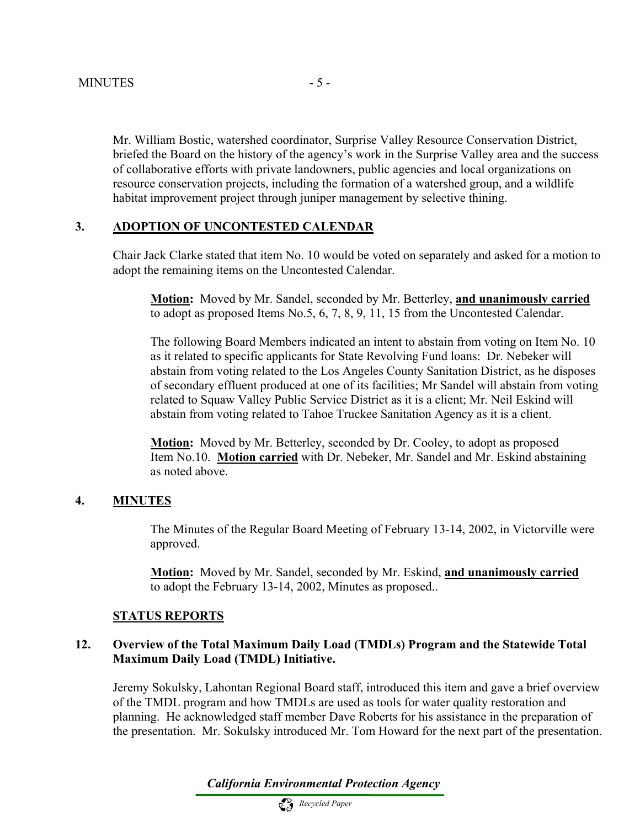Mr. William Bostic, watershed coordinator, Surprise Valley Resource Conservation District, briefed the Board on the history of the agency's work in the Surprise Valley area and the success of collaborative efforts with private landowners, public agencies and local organizations on resource conservation projects, including the formation of a watershed group, and a wildlife habitat improvement project through juniper management by selective thining.

### **3. ADOPTION OF UNCONTESTED CALENDAR**

Chair Jack Clarke stated that item No. 10 would be voted on separately and asked for a motion to adopt the remaining items on the Uncontested Calendar.

 **Motion:** Moved by Mr. Sandel, seconded by Mr. Betterley, **and unanimously carried**  to adopt as proposed Items No.5, 6, 7, 8, 9, 11, 15 from the Uncontested Calendar.

The following Board Members indicated an intent to abstain from voting on Item No. 10 as it related to specific applicants for State Revolving Fund loans: Dr. Nebeker will abstain from voting related to the Los Angeles County Sanitation District, as he disposes of secondary effluent produced at one of its facilities; Mr Sandel will abstain from voting related to Squaw Valley Public Service District as it is a client; Mr. Neil Eskind will abstain from voting related to Tahoe Truckee Sanitation Agency as it is a client.

**Motion:** Moved by Mr. Betterley, seconded by Dr. Cooley, to adopt as proposed Item No.10. **Motion carried** with Dr. Nebeker, Mr. Sandel and Mr. Eskind abstaining as noted above.

#### **4. MINUTES**

The Minutes of the Regular Board Meeting of February 13-14, 2002, in Victorville were approved.

**Motion:** Moved by Mr. Sandel, seconded by Mr. Eskind, **and unanimously carried** to adopt the February 13-14, 2002, Minutes as proposed..

#### **STATUS REPORTS**

### **12. Overview of the Total Maximum Daily Load (TMDLs) Program and the Statewide Total Maximum Daily Load (TMDL) Initiative.**

Jeremy Sokulsky, Lahontan Regional Board staff, introduced this item and gave a brief overview of the TMDL program and how TMDLs are used as tools for water quality restoration and planning. He acknowledged staff member Dave Roberts for his assistance in the preparation of the presentation. Mr. Sokulsky introduced Mr. Tom Howard for the next part of the presentation.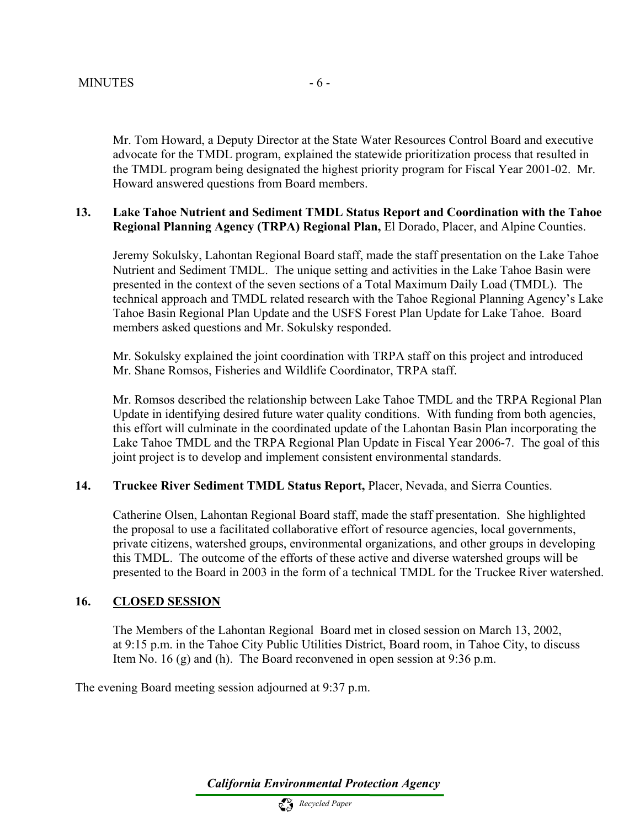Mr. Tom Howard, a Deputy Director at the State Water Resources Control Board and executive advocate for the TMDL program, explained the statewide prioritization process that resulted in the TMDL program being designated the highest priority program for Fiscal Year 2001-02. Mr. Howard answered questions from Board members.

### **13. Lake Tahoe Nutrient and Sediment TMDL Status Report and Coordination with the Tahoe Regional Planning Agency (TRPA) Regional Plan,** El Dorado, Placer, and Alpine Counties.

Jeremy Sokulsky, Lahontan Regional Board staff, made the staff presentation on the Lake Tahoe Nutrient and Sediment TMDL. The unique setting and activities in the Lake Tahoe Basin were presented in the context of the seven sections of a Total Maximum Daily Load (TMDL). The technical approach and TMDL related research with the Tahoe Regional Planning Agency's Lake Tahoe Basin Regional Plan Update and the USFS Forest Plan Update for Lake Tahoe. Board members asked questions and Mr. Sokulsky responded.

Mr. Sokulsky explained the joint coordination with TRPA staff on this project and introduced Mr. Shane Romsos, Fisheries and Wildlife Coordinator, TRPA staff.

Mr. Romsos described the relationship between Lake Tahoe TMDL and the TRPA Regional Plan Update in identifying desired future water quality conditions. With funding from both agencies, this effort will culminate in the coordinated update of the Lahontan Basin Plan incorporating the Lake Tahoe TMDL and the TRPA Regional Plan Update in Fiscal Year 2006-7. The goal of this joint project is to develop and implement consistent environmental standards.

### **14. Truckee River Sediment TMDL Status Report,** Placer, Nevada, and Sierra Counties.

 Catherine Olsen, Lahontan Regional Board staff, made the staff presentation. She highlighted the proposal to use a facilitated collaborative effort of resource agencies, local governments, private citizens, watershed groups, environmental organizations, and other groups in developing this TMDL. The outcome of the efforts of these active and diverse watershed groups will be presented to the Board in 2003 in the form of a technical TMDL for the Truckee River watershed.

### **16. CLOSED SESSION**

The Members of the Lahontan Regional Board met in closed session on March 13, 2002, at 9:15 p.m. in the Tahoe City Public Utilities District, Board room, in Tahoe City, to discuss Item No. 16 (g) and (h). The Board reconvened in open session at 9:36 p.m.

The evening Board meeting session adjourned at 9:37 p.m.

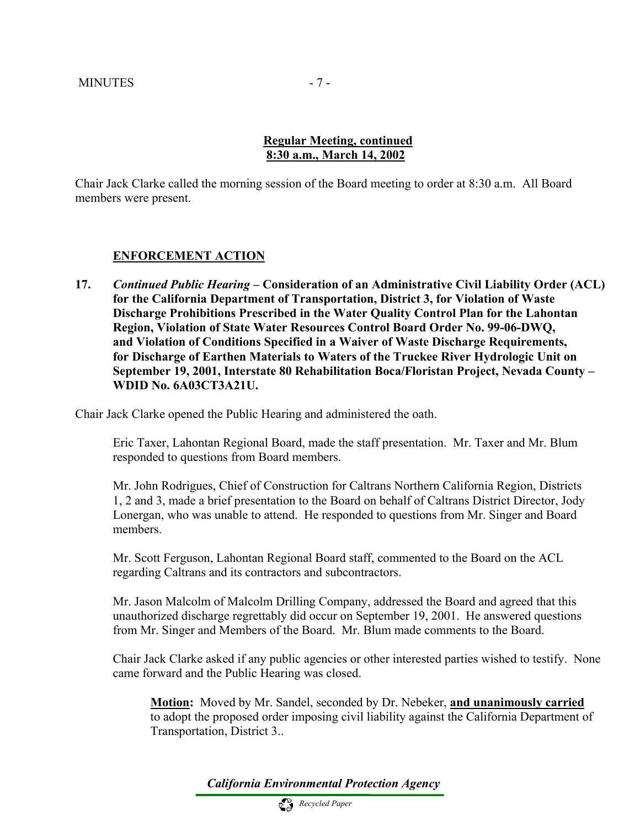### **Regular Meeting, continued 8:30 a.m., March 14, 2002**

Chair Jack Clarke called the morning session of the Board meeting to order at 8:30 a.m. All Board members were present.

### **ENFORCEMENT ACTION**

**17.** *Continued Public Hearing –* **Consideration of an Administrative Civil Liability Order (ACL) for the California Department of Transportation, District 3, for Violation of Waste Discharge Prohibitions Prescribed in the Water Quality Control Plan for the Lahontan Region, Violation of State Water Resources Control Board Order No. 99-06-DWQ, and Violation of Conditions Specified in a Waiver of Waste Discharge Requirements, for Discharge of Earthen Materials to Waters of the Truckee River Hydrologic Unit on September 19, 2001, Interstate 80 Rehabilitation Boca/Floristan Project, Nevada County – WDID No. 6A03CT3A21U.** 

Chair Jack Clarke opened the Public Hearing and administered the oath.

 Eric Taxer, Lahontan Regional Board, made the staff presentation. Mr. Taxer and Mr. Blum responded to questions from Board members.

 Mr. John Rodrigues, Chief of Construction for Caltrans Northern California Region, Districts 1, 2 and 3, made a brief presentation to the Board on behalf of Caltrans District Director, Jody Lonergan, who was unable to attend. He responded to questions from Mr. Singer and Board members.

 Mr. Scott Ferguson, Lahontan Regional Board staff, commented to the Board on the ACL regarding Caltrans and its contractors and subcontractors.

Mr. Jason Malcolm of Malcolm Drilling Company, addressed the Board and agreed that this unauthorized discharge regrettably did occur on September 19, 2001. He answered questions from Mr. Singer and Members of the Board. Mr. Blum made comments to the Board.

 Chair Jack Clarke asked if any public agencies or other interested parties wished to testify. None came forward and the Public Hearing was closed.

**Motion:** Moved by Mr. Sandel, seconded by Dr. Nebeker, **and unanimously carried**  to adopt the proposed order imposing civil liability against the California Department of Transportation, District 3..